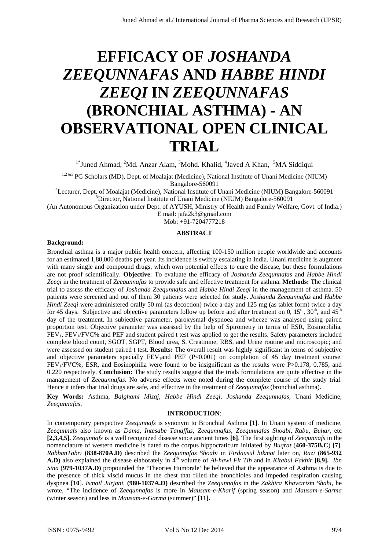# **EFFICACY OF** *JOSHANDA ZEEQUNNAFAS* **AND** *HABBE HINDI ZEEQI* **IN** *ZEEQUNNAFAS* **(BRONCHIAL ASTHMA) - AN OBSERVATIONAL OPEN CLINICAL TRIAL**

 $1*$ Juned Ahmad, <sup>2</sup>Md. Anzar Alam, <sup>3</sup>Mohd. Khalid, <sup>4</sup>Javed A Khan, <sup>5</sup>MA Siddiqui

<sup>1,2 &3</sup> PG Scholars (MD), Dept. of Moalajat (Medicine), National Institute of Unani Medicine (NIUM) Bangalore-560091<br><sup>4</sup>Lecturer, Dept. of Moslaigt (Medicine), National Institute of I

Lecturer, Dept. of Moalajat (Medicine), National Institute of Unani Medicine (NIUM) Bangalore-560091 <sup>5</sup>Director, National Institute of Unani Medicine (NIUM) Bangalore-560091

(An Autonomous Organization under Dept. of AYUSH, Ministry of Health and Family Welfare, Govt. of India.)

E mail: jafa2k3@gmail.com

Mob: +91-7204777218

## **ABSTRACT**

#### **Background:**

Bronchial asthma is a major public health concern, affecting 100-150 million people worldwide and accounts for an estimated 1,80,000 deaths per year. Its incidence is swiftly escalating in India. Unani medicine is augment with many single and compound drugs, which own potential effects to cure the disease, but these formulations are not proof scientifically. **Objective**: To evaluate the efficacy of *Joshanda Zeequnnafas* and *Habbe Hindi Zeeqi* in the treatment of *Zeequnnafas* to provide safe and effective treatment for asthma. **Methods:** The clinical trial to assess the efficacy of *Joshanda Zeequnnafas* and *Habbe Hindi Zeeqi* in the management of asthma. 50 patients were screened and out of them 30 patients were selected for study. *Joshanda Zeequnnafas* and *Habbe Hindi Zeeqi* were administered orally 50 ml (as decoction) twice a day and 125 mg (as tablet form) twice a day for 45 days. Subjective and objective parameters follow up before and after treatment on 0,  $15^{th}$ ,  $30^{th}$ , and  $45^{th}$ day of the treatment. In subjective parameter, paroxysmal dyspnoea and wheeze was analysed using paired proportion test. Objective parameter was assessed by the help of Spirometry in terms of ESR, Eosinophilia, FEV1, FEV1/FVC% and PEF and student paired t test was applied to get the results. Safety parameters included complete blood count, SGOT, SGPT, Blood urea, S. Creatinine, RBS, and Urine routine and microscopic; and were assessed on student paired t test. **Results:** The overall result was highly significant in terms of subjective and objective parameters specially  $FEV<sub>1</sub>$ and  $PEF (P<0.001)$  on completion of 45 day treatment course. FEV1/FVC%, ESR, and Eosinophilia were found to be insignificant as the results were P>0.178, 0.785, and 0.220 respectively. **Conclusion:** The study results suggest that the trials formulations are quite effective in the management of *Zeequnnafas*. No adverse effects were noted during the complete course of the study trial. Hence it infers that trial drugs are safe, and effective in the treatment of *Zeequnnafas* (bronchial asthma). Juned Ahmad et al. **International Journal of Pharma Sciences and Ahmad et al. SEE COLUNIAE AS AND HABBE HINDI ZEE COLUNIAE AS AND HABBE HINDI TRIAL COLUNIAE AS AND HABBE HINDI TRIAL COLUNIAE AS AND ARTIFICAL A** 

**Key Words:** Asthma, *Balghami Mizaj, Habbe Hindi Zeeqi*, *Joshanda Zeequnnafas,* Unani Medicine, *Zeequnnafas,*

## **INTRODUCTION**:

In contemporary perspective *Zeequnnafs* is synonym to Bronchial Asthma **[1]**. In Unani system of medicine, *Zeequnnafs* also known as *Dama*, *Intesabe Tanaffus*, *Zeequnnafas, Zeequnnafas Shoabi*, *Rabu*, *Buhar,* etc **[2,3,4,5].** *Zeequnnafs* is a well recognized disease since ancient times **[6]**. The first sighting of *Zeequnnafs* in the nomenclature of western medicine is dated to the corpus hippocraticum initiated by *Buqrat* (**460-375B.C**) **[7]**. *RabbanTabri* **(838-870A.D)** described the *Zeequnnafas Shoabi* in *Firdausul hikmat* later on, *Razi* **(865-932 A.D**) also explained the disease elaborately in  $\hat{A}^{\text{th}}$  volume of *Al-hawi Fit Tib* and in *Kitabul Fakhir* [8,9]. *Ibn Sina* (**979-1037A.D)** propounded the 'Theories Humorale' he believed that the appearance of Asthma is due to the presence of thick viscid mucus in the chest that filled the bronchioles and impeded respiration causing dyspnea [**10**]. *Ismail Jurjani,* **(980-1037A.D)** described the *Zeequnnafas* in the *Zakhira Khawarizm Shahi,* he wrote, "The incidence of *Zeequnnafas* is more in *Mausam-e-Kharif* (spring season) and *Mausam-e-Sarma* (winter season) and less in *Mausam-e-Garma* (summer)" **[11].**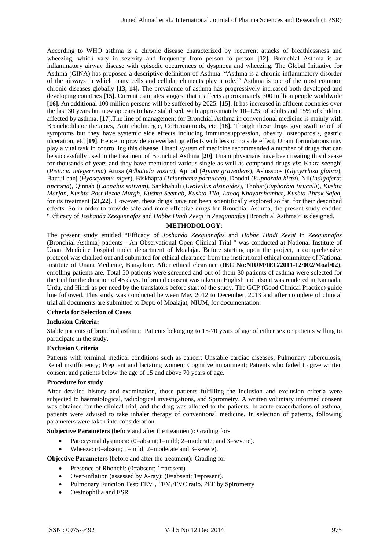According to WHO asthma is a chronic disease characterized by recurrent attacks of breathlessness and wheezing, which vary in severity and frequency from person to person [12]. Bronchial Asthma is an inflammatory airway disease with episodic occurrences of dyspnoea and wheezing. The Global Initiative for Asthma (GINA) has proposed a descriptive definition of Asthma. "Asthma is a chronic inflammatory disorder of the airways in which many cells and cellular elements play a role.'' Asthma is one of the most common chronic diseases globally **[13, 14].** The prevalence of asthma has progressively increased both developed and developing countries **[15].** Current estimates suggest that it affects approximately 300 million people worldwide **[16]**. An additional 100 million persons will be suffered by 2025. **[15]**. It has increased in affluent countries over the last 30 years but now appears to have stabilized, with approximately 10–12% of adults and 15% of children affected by asthma. [**17**].The line of management for Bronchial Asthma in conventional medicine is mainly with Bronchodilator therapies, Anti cholinergic, Corticosteroids, etc **[18].** Though these drugs give swift relief of symptoms but they have systemic side effects including immunosuppression, obesity, osteoporosis, gastric ulceration, etc **[19]**. Hence to provide an everlasting effects with less or no side effect, Unani formulations may play a vital task in controlling this disease. Unani system of medicine recommended a number of drugs that can be successfully used in the treatment of Bronchial Asthma **[20]**. Unani physicians have been treating this disease for thousands of years and they have mentioned various single as well as compound drugs *viz*; Kakra seenghi (*Pistacia integerrima*) Arusa (*Adhatoda vasica*), Ajmod (*Apium graveolens*), Aslussoos (*Glycyrrhiza glabra*), Bazrul banj (*Hyoscyamus niger*), Biskhapra (*Trianthema portulaca*), Doodhi (*Euphorbia hirta*), Nil(*Indigofera: tinctoria*), Qinnab (*Cannabis sativam*), Sankhahuli (*Evolvulus alsinoides*), Thohar(*Euphorbia tirucalli*), *Kushta Marjan, Kushta Post Bezae Murgh, Kushta Seemab, Kushta Tila, Laooq Khayarshamber, Kushta Abrak Safed*, for its treatment **[21,22]**. However, these drugs have not been scientifically explored so far, for their described effects. So in order to provide safe and more effective drugs for Bronchial Asthma, the present study entitled "Efficacy of *Joshanda Zeequnnafas* and *Habbe Hindi Zeeqi* in *Zeequnnafas* (Bronchial Asthma)" is designed. Juned Ahmad et al./ International Journal of Pharma Sciences and Research (IJPSR) Absolved Absolved Absolved Absolved Absolved Absolved Absolved Absolved Absolved Absolved Absolved Absolved Absolved Absolved Absolved Abso

#### **METHODOLOGY:**

The present study entitled "Efficacy of *Joshanda Zeequnnafas* and *Habbe Hindi Zeeqi* in *Zeequnnafas* (Bronchial Asthma) patients - An Observational Open Clinical Trial " was conducted at National Institute of Unani Medicine hospital under department of Moalajat. Before starting upon the project, a comprehensive protocol was chalked out and submitted for ethical clearance from the institutional ethical committee of National Institute of Unani Medicine, Bangalore. After ethical clearance (**IEC No:NIUM/IEC/2011-12/002/Moal/02**), enrolling patients are. Total 50 patients were screened and out of them 30 patients of asthma were selected for the trial for the duration of 45 days. Informed consent was taken in English and also it was rendered in Kannada, Urdu, and Hindi as per need by the translators before start of the study. The GCP (Good Clinical Practice) guide line followed. This study was conducted between May 2012 to December, 2013 and after complete of clinical trial all documents are submitted to Dept. of Moalajat, NIUM, for documentation.

#### **Criteria for Selection of Cases**

#### **Inclusion Criteria:**

Stable patients of bronchial asthma; Patients belonging to 15-70 years of age of either sex or patients willing to participate in the study.

#### **Exclusion Criteria**

Patients with terminal medical conditions such as cancer; Unstable cardiac diseases; Pulmonary tuberculosis; Renal insufficiency; Pregnant and lactating women; Cognitive impairment; Patients who failed to give written consent and patients below the age of 15 and above 70 years of age.

## **Procedure for study**

After detailed history and examination, those patients fulfilling the inclusion and exclusion criteria were subjected to haematological, radiological investigations, and Spirometry. A written voluntary informed consent was obtained for the clinical trial, and the drug was allotted to the patients. In acute exacerbations of asthma, patients were advised to take inhaler therapy of conventional medicine. In selection of patients, following parameters were taken into consideration.

**Subjective Parameters (**before and after the treatment**):** Grading for**-** 

- Paroxysmal dyspnoea: (0=absent;1=mild; 2=moderate; and 3=severe).
- Wheeze: (0=absent; 1=mild; 2=moderate and 3=severe).

**Objective Parameters (**before and after the treatment**):** Grading for**-**

- Presence of Rhonchi: (0=absent; 1=present).
- Over-inflation (assessed by X-ray): (0=absent; 1=present).
- Pulmonary Function Test: FEV<sub>1</sub>, FEV<sub>1</sub>/FVC ratio, PEF by Spirometry
- Oesinophilia and ESR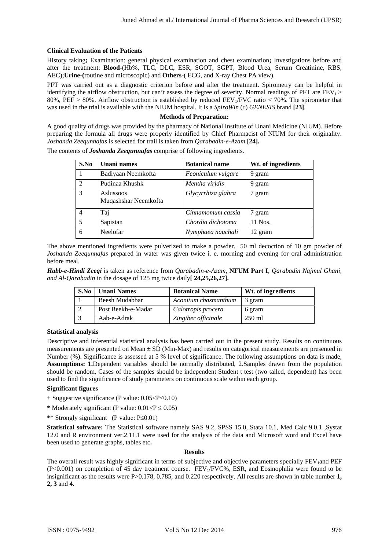## **Clinical Evaluation of the Patients**

#### **Methods of Preparation:**

|                                                                          |                |                                                                                                                                                                                                                                                                                                                                                                                                                                                                                                                                                                                                                                                                                                                                                                                                                                                                                                                                                                                                                                                                                                                                                                                                                                                                                                                                                                                                                                                                                                               | Juned Ahmad et al./ International Journal of Pharma Sciences and Research (IJPSR) |                    |     |
|--------------------------------------------------------------------------|----------------|---------------------------------------------------------------------------------------------------------------------------------------------------------------------------------------------------------------------------------------------------------------------------------------------------------------------------------------------------------------------------------------------------------------------------------------------------------------------------------------------------------------------------------------------------------------------------------------------------------------------------------------------------------------------------------------------------------------------------------------------------------------------------------------------------------------------------------------------------------------------------------------------------------------------------------------------------------------------------------------------------------------------------------------------------------------------------------------------------------------------------------------------------------------------------------------------------------------------------------------------------------------------------------------------------------------------------------------------------------------------------------------------------------------------------------------------------------------------------------------------------------------|-----------------------------------------------------------------------------------|--------------------|-----|
|                                                                          |                | <b>Clinical Evaluation of the Patients</b>                                                                                                                                                                                                                                                                                                                                                                                                                                                                                                                                                                                                                                                                                                                                                                                                                                                                                                                                                                                                                                                                                                                                                                                                                                                                                                                                                                                                                                                                    |                                                                                   |                    |     |
|                                                                          |                | History taking; Examination: general physical examination and chest examination; Investigations before and<br>after the treatment: Blood-(Hb%, TLC, DLC, ESR, SGOT, SGPT, Blood Urea, Serum Creatinine, RBS,                                                                                                                                                                                                                                                                                                                                                                                                                                                                                                                                                                                                                                                                                                                                                                                                                                                                                                                                                                                                                                                                                                                                                                                                                                                                                                  |                                                                                   |                    |     |
|                                                                          |                | AEC); Urine-(routine and microscopic) and Others-(ECG, and X-ray Chest PA view).                                                                                                                                                                                                                                                                                                                                                                                                                                                                                                                                                                                                                                                                                                                                                                                                                                                                                                                                                                                                                                                                                                                                                                                                                                                                                                                                                                                                                              |                                                                                   |                    |     |
|                                                                          |                | PFT was carried out as a diagnostic criterion before and after the treatment. Spirometry can be helpful in<br>identifying the airflow obstruction, but can't assess the degree of severity. Normal readings of PFT are $FEV_1$<br>80%, PEF > 80%. Airflow obstruction is established by reduced FEV <sub>1</sub> /FVC ratio < 70%. The spirometer that                                                                                                                                                                                                                                                                                                                                                                                                                                                                                                                                                                                                                                                                                                                                                                                                                                                                                                                                                                                                                                                                                                                                                        |                                                                                   |                    |     |
|                                                                          |                | was used in the trial is available with the NIUM hospital. It is a SpiroWin (c) GENESIS brand [23].                                                                                                                                                                                                                                                                                                                                                                                                                                                                                                                                                                                                                                                                                                                                                                                                                                                                                                                                                                                                                                                                                                                                                                                                                                                                                                                                                                                                           |                                                                                   |                    |     |
|                                                                          |                | A good quality of drugs was provided by the pharmacy of National Institute of Unani Medicine (NIUM). Before<br>preparing the formula all drugs were properly identified by Chief Pharmacist of NIUM for their originality.<br>Joshanda Zeequnnafas is selected for trail is taken from Qarabadin-e-Azam [24].<br>The contents of <b>Joshanda Zeequnnafas</b> comprise of following ingredients.                                                                                                                                                                                                                                                                                                                                                                                                                                                                                                                                                                                                                                                                                                                                                                                                                                                                                                                                                                                                                                                                                                               | <b>Methods of Preparation:</b>                                                    |                    |     |
|                                                                          | S.No           | <b>Unani</b> names                                                                                                                                                                                                                                                                                                                                                                                                                                                                                                                                                                                                                                                                                                                                                                                                                                                                                                                                                                                                                                                                                                                                                                                                                                                                                                                                                                                                                                                                                            | <b>Botanical name</b>                                                             | Wt. of ingredients |     |
|                                                                          | $\mathbf{1}$   | Badiyaan Neemkofta                                                                                                                                                                                                                                                                                                                                                                                                                                                                                                                                                                                                                                                                                                                                                                                                                                                                                                                                                                                                                                                                                                                                                                                                                                                                                                                                                                                                                                                                                            | Feoniculum vulgare                                                                | 9 gram             |     |
|                                                                          | $\overline{2}$ | Pudinaa Khushk                                                                                                                                                                                                                                                                                                                                                                                                                                                                                                                                                                                                                                                                                                                                                                                                                                                                                                                                                                                                                                                                                                                                                                                                                                                                                                                                                                                                                                                                                                | Mentha viridis                                                                    | 9 gram             |     |
|                                                                          | 3              | Aslussoos<br>Muqashshar Neemkofta                                                                                                                                                                                                                                                                                                                                                                                                                                                                                                                                                                                                                                                                                                                                                                                                                                                                                                                                                                                                                                                                                                                                                                                                                                                                                                                                                                                                                                                                             | Glycyrrhiza glabra                                                                | 7 gram             |     |
|                                                                          | 4              | Taj                                                                                                                                                                                                                                                                                                                                                                                                                                                                                                                                                                                                                                                                                                                                                                                                                                                                                                                                                                                                                                                                                                                                                                                                                                                                                                                                                                                                                                                                                                           | Cinnamomum cassia                                                                 | 7 gram             |     |
|                                                                          | $\sqrt{5}$     | Sapistan                                                                                                                                                                                                                                                                                                                                                                                                                                                                                                                                                                                                                                                                                                                                                                                                                                                                                                                                                                                                                                                                                                                                                                                                                                                                                                                                                                                                                                                                                                      | Chordia dichotoma                                                                 | 11 Nos.            |     |
|                                                                          | 6              | Neelofar                                                                                                                                                                                                                                                                                                                                                                                                                                                                                                                                                                                                                                                                                                                                                                                                                                                                                                                                                                                                                                                                                                                                                                                                                                                                                                                                                                                                                                                                                                      | Nymphaea nauchali                                                                 | 12 gram            |     |
| before meal.                                                             |                | Habb-e-Hindi Zeeqi is taken as reference from Qarabadin-e-Azam, NFUM Part I, Qarabadin Najmul Ghani,<br>and Al-Qarabadin in the dosage of 125 mg twice daily[ 24,25,26,27].                                                                                                                                                                                                                                                                                                                                                                                                                                                                                                                                                                                                                                                                                                                                                                                                                                                                                                                                                                                                                                                                                                                                                                                                                                                                                                                                   |                                                                                   |                    |     |
|                                                                          | S.No           | <b>Unani Names</b>                                                                                                                                                                                                                                                                                                                                                                                                                                                                                                                                                                                                                                                                                                                                                                                                                                                                                                                                                                                                                                                                                                                                                                                                                                                                                                                                                                                                                                                                                            | <b>Botanical Name</b>                                                             | Wt. of ingredients |     |
|                                                                          | 1              | Beesh Mudabbar                                                                                                                                                                                                                                                                                                                                                                                                                                                                                                                                                                                                                                                                                                                                                                                                                                                                                                                                                                                                                                                                                                                                                                                                                                                                                                                                                                                                                                                                                                | Aconitum chasmanthum                                                              | 3 gram             |     |
|                                                                          | $\overline{2}$ | Post Beekh-e-Madar                                                                                                                                                                                                                                                                                                                                                                                                                                                                                                                                                                                                                                                                                                                                                                                                                                                                                                                                                                                                                                                                                                                                                                                                                                                                                                                                                                                                                                                                                            | Calotropis procera                                                                | 6 gram             |     |
|                                                                          | 3              | Aab-e-Adrak                                                                                                                                                                                                                                                                                                                                                                                                                                                                                                                                                                                                                                                                                                                                                                                                                                                                                                                                                                                                                                                                                                                                                                                                                                                                                                                                                                                                                                                                                                   | Zingiber officinale                                                               | 250 ml             |     |
| <b>Statistical analysis</b><br><b>Significant figures</b><br>2, 3 and 4. |                | Descriptive and inferential statistical analysis has been carried out in the present study. Results on continuous<br>measurements are presented on Mean $\pm$ SD (Min-Max) and results on categorical measurements are presented in<br>Number (%). Significance is assessed at 5 % level of significance. The following assumptions on data is made,<br><b>Assumptions:</b> 1. Dependent variables should be normally distributed, 2. Samples drawn from the population<br>should be random, Cases of the samples should be independent Student t test (two tailed, dependent) has been<br>used to find the significance of study parameters on continuous scale within each group.<br>$+$ Suggestive significance (P value: $0.05 < P < 0.10$ )<br>* Moderately significant (P value: $0.01 < P \le 0.05$ )<br>** Strongly significant (P value: P \ 0.01)<br>Statistical software: The Statistical software namely SAS 9.2, SPSS 15.0, Stata 10.1, Med Calc 9.0.1 , Systat<br>12.0 and R environment ver.2.11.1 were used for the analysis of the data and Microsoft word and Excel have<br>been used to generate graphs, tables etc.<br>The overall result was highly significant in terms of subjective and objective parameters specially FEV and PEF<br>$(P<0.001)$ on completion of 45 day treatment course. FEV <sub>1</sub> /FVC%, ESR, and Eosinophilia were found to be<br>insignificant as the results were $P > 0.178$ , 0.785, and 0.220 respectively. All results are shown in table number 1, | <b>Results</b>                                                                    |                    |     |
| ISSN: 0975-9492                                                          |                |                                                                                                                                                                                                                                                                                                                                                                                                                                                                                                                                                                                                                                                                                                                                                                                                                                                                                                                                                                                                                                                                                                                                                                                                                                                                                                                                                                                                                                                                                                               | Vol 5 No 12 Dec 2014                                                              |                    | 976 |

| S.No | <b>Unani Names</b> | <b>Botanical Name</b> | Wt. of ingredients |
|------|--------------------|-----------------------|--------------------|
|      | Beesh Mudabbar     | Aconitum chasmanthum  | 3 gram             |
|      | Post Beekh-e-Madar | Calotropis procera    | 6 gram             |
|      | Aab-e-Adrak        | Zingiber officinale   | 250 ml             |

## **Statistical analysis**

## **Significant figures**

- $+$  Suggestive significance (P value:  $0.05 < P < 0.10$ )
- \* Moderately significant (P value:  $0.01 < P \le 0.05$ )

#### **Results**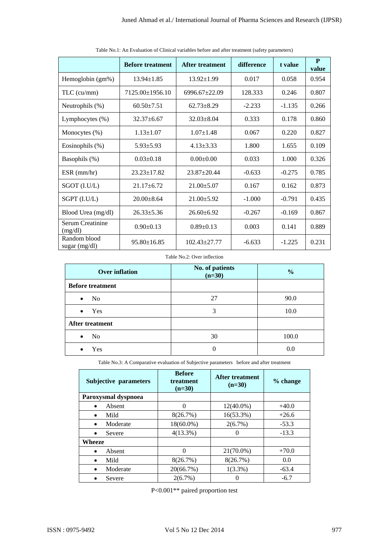|                                              | <b>Before treatment</b>                                                                  |                   | <b>After treatment</b>                 |                  | difference                         | t value            | $\mathbf{P}$<br>value |
|----------------------------------------------|------------------------------------------------------------------------------------------|-------------------|----------------------------------------|------------------|------------------------------------|--------------------|-----------------------|
| Hemoglobin (gm%)                             | $13.94 \pm 1.85$                                                                         |                   | $13.92 \pm 1.99$                       |                  | 0.017                              | 0.058              | 0.954                 |
| TLC (cu/mm)                                  | 7125.00±1956.10                                                                          | 6996.67±22.09     |                                        | 128.333          | 0.246                              | 0.807              |                       |
| Neutrophils (%)<br>$60.50 \pm 7.51$          |                                                                                          |                   | $62.73 \pm 8.29$                       |                  | $-2.233$                           | $-1.135$           | 0.266                 |
| Lymphocytes (%)<br>$32.37 \pm 6.67$          |                                                                                          |                   | $32.03 \pm 8.04$                       |                  | 0.333                              | 0.178              | 0.860                 |
| Monocytes (%)<br>$1.13 \pm 1.07$             |                                                                                          |                   | $1.07 \pm 1.48$                        |                  | 0.067                              | 0.220              | 0.827                 |
|                                              |                                                                                          |                   | $4.13 \pm 3.33$                        |                  | 1.800                              | 1.655              | 0.109                 |
| Eosinophils (%)<br>$5.93 \pm 5.93$           |                                                                                          |                   |                                        |                  |                                    |                    |                       |
| Basophils (%)                                | $0.03 \pm 0.18$                                                                          |                   | $0.00 \pm 0.00$                        |                  | 0.033                              | 1.000              | 0.326                 |
| $ESR$ (mm/hr)                                | 23.23±17.82                                                                              |                   | 23.87±20.44                            |                  | $-0.633$                           | $-0.275$           | 0.785                 |
| SGOT (I.U/L)                                 | $21.17 \pm 6.72$                                                                         |                   | $21.00 \pm 5.07$                       |                  | 0.167                              | 0.162              | 0.873                 |
| SGPT (I.U/L)                                 | $20.00 \pm 8.64$                                                                         |                   | $21.00 \pm 5.92$                       |                  | $-1.000$                           | $-0.791$           | 0.435                 |
| Blood Urea (mg/dl)                           | $26.33 \pm 5.36$                                                                         |                   | $26.60 \pm 6.92$                       |                  | $-0.267$                           | $-0.169$           | 0.867                 |
| Serum Creatinine<br>(mg/dl)                  | $0.90 \pm 0.13$                                                                          |                   | $0.89 \pm 0.13$                        |                  | 0.003                              | 0.141              | 0.889                 |
| Random blood<br>sugar (mg/dl)                |                                                                                          | $95.80 \pm 16.85$ |                                        | 102.43±27.77     | $-6.633$                           | $-1.225$           | 0.231                 |
|                                              |                                                                                          |                   | Table No.2: Over inflection            |                  |                                    |                    |                       |
|                                              |                                                                                          |                   |                                        | No. of patients  |                                    |                    |                       |
| <b>Over inflation</b>                        |                                                                                          |                   | $(n=30)$                               |                  | $\frac{0}{0}$                      |                    |                       |
| <b>Before treatment</b>                      |                                                                                          |                   |                                        |                  |                                    |                    |                       |
| N <sub>0</sub>                               |                                                                                          |                   | 27                                     |                  |                                    | 90.0               |                       |
| Yes                                          |                                                                                          |                   |                                        | 3                |                                    | 10.0               |                       |
| After treatment                              |                                                                                          |                   |                                        |                  |                                    |                    |                       |
| N <sub>o</sub><br>٠                          |                                                                                          |                   |                                        | 30               |                                    | 100.0              |                       |
| Yes<br>$\bullet$                             |                                                                                          |                   |                                        | $\boldsymbol{0}$ |                                    | 0.0                |                       |
|                                              | Table No.3: A Comparative evaluation of Subjective parameters before and after treatment |                   |                                        |                  |                                    |                    |                       |
| Subjective parameters                        |                                                                                          |                   | <b>Before</b><br>treatment<br>$(n=30)$ |                  | <b>After treatment</b><br>$(n=30)$ | % change           |                       |
| Paroxysmal dyspnoea                          |                                                                                          |                   |                                        |                  |                                    |                    |                       |
| Absent<br>$\bullet$<br>Mild<br>$\bullet$     |                                                                                          |                   | $\mathbf{0}$<br>8(26.7%)               |                  | $12(40.0\%)$<br>16(53.3%)          | $+40.0$<br>$+26.6$ |                       |
| Moderate<br>$\bullet$                        |                                                                                          |                   | $18(60.0\%)$                           |                  | 2(6.7%)                            | $-53.3$            |                       |
| Severe<br>$\bullet$                          |                                                                                          |                   | 4(13.3%)                               | $\Omega$         |                                    | $-13.3$            |                       |
| Wheeze                                       |                                                                                          |                   |                                        |                  |                                    |                    |                       |
| $\bullet$                                    | Absent                                                                                   |                   | $\boldsymbol{0}$                       | 21(70.0%)        |                                    | $+70.0$            |                       |
| Mild<br>$\bullet$                            |                                                                                          |                   | 8(26.7%)                               |                  | 8(26.7%)                           | 0.0                |                       |
| Moderate<br>$\bullet$<br>Severe<br>$\bullet$ |                                                                                          |                   | 20(66.7%)<br>$2(6.7\%)$                |                  | $1(3.3\%)$<br>$\boldsymbol{0}$     | $-63.4$<br>$-6.7$  |                       |
|                                              |                                                                                          |                   | $P<0.001**$ paired proportion test     |                  |                                    |                    |                       |

Table No.1: An Evaluation of Clinical variables before and after treatment (safety parameters)

| <b>Over inflation</b>       | No. of patients<br>$(n=30)$ | $\frac{6}{6}$ |
|-----------------------------|-----------------------------|---------------|
| <b>Before treatment</b>     |                             |               |
| N <sub>0</sub><br>$\bullet$ | 27                          | 90.0          |
| Yes<br>$\bullet$            | 3                           | 10.0          |
| After treatment             |                             |               |
| No<br>$\bullet$             | 30                          | 100.0         |
| Yes<br>٠                    |                             | 0.0           |

| <b>Subjective parameters</b> | <b>Before</b><br>treatment<br>$(n=30)$ | After treatment<br>$(n=30)$ | % change |
|------------------------------|----------------------------------------|-----------------------------|----------|
| Paroxysmal dyspnoea          |                                        |                             |          |
| Absent<br>$\bullet$          | 0                                      | $12(40.0\%)$                | $+40.0$  |
| Mild<br>$\bullet$            | 8(26.7%)                               | 16(53.3%)                   | $+26.6$  |
| Moderate<br>$\bullet$        | $18(60.0\%)$                           | $2(6.7\%)$                  | $-53.3$  |
| Severe<br>$\bullet$          | $4(13.3\%)$                            |                             | $-13.3$  |
| Wheeze                       |                                        |                             |          |
| Absent<br>$\bullet$          | $\Omega$                               | $21(70.0\%)$                | $+70.0$  |
| Mild<br>$\bullet$            | 8(26.7%)                               | 8(26.7%)                    | 0.0      |
| Moderate<br>$\bullet$        | 20(66.7%)                              | $1(3.3\%)$                  | $-63.4$  |
| Severe                       | $2(6.7\%)$                             |                             | $-6.7$   |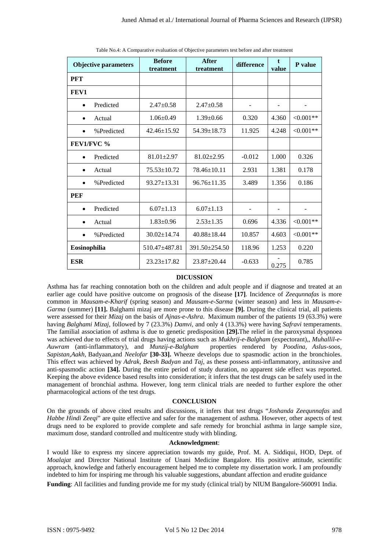|                                                                                                                                                                                                                                                                                                                                                                                                                                                                                                                                                                                                                                                                                                                                                                                                                                                                                                                                                                                                                                                                                                                                                                                                                                                                                                                                                                                                                                                | <b>Before</b><br>treatment                                                                                 | <b>After</b><br>treatment | difference                                                                                                                                                           | value | P value    |
|------------------------------------------------------------------------------------------------------------------------------------------------------------------------------------------------------------------------------------------------------------------------------------------------------------------------------------------------------------------------------------------------------------------------------------------------------------------------------------------------------------------------------------------------------------------------------------------------------------------------------------------------------------------------------------------------------------------------------------------------------------------------------------------------------------------------------------------------------------------------------------------------------------------------------------------------------------------------------------------------------------------------------------------------------------------------------------------------------------------------------------------------------------------------------------------------------------------------------------------------------------------------------------------------------------------------------------------------------------------------------------------------------------------------------------------------|------------------------------------------------------------------------------------------------------------|---------------------------|----------------------------------------------------------------------------------------------------------------------------------------------------------------------|-------|------------|
| <b>PFT</b>                                                                                                                                                                                                                                                                                                                                                                                                                                                                                                                                                                                                                                                                                                                                                                                                                                                                                                                                                                                                                                                                                                                                                                                                                                                                                                                                                                                                                                     |                                                                                                            |                           |                                                                                                                                                                      |       |            |
| FEV1                                                                                                                                                                                                                                                                                                                                                                                                                                                                                                                                                                                                                                                                                                                                                                                                                                                                                                                                                                                                                                                                                                                                                                                                                                                                                                                                                                                                                                           |                                                                                                            |                           |                                                                                                                                                                      |       |            |
| Predicted<br>٠                                                                                                                                                                                                                                                                                                                                                                                                                                                                                                                                                                                                                                                                                                                                                                                                                                                                                                                                                                                                                                                                                                                                                                                                                                                                                                                                                                                                                                 | $2.47 \pm 0.58$                                                                                            | $2.47 \pm 0.58$           | ÷,                                                                                                                                                                   |       |            |
| Actual<br>٠                                                                                                                                                                                                                                                                                                                                                                                                                                                                                                                                                                                                                                                                                                                                                                                                                                                                                                                                                                                                                                                                                                                                                                                                                                                                                                                                                                                                                                    | $1.06 \pm 0.49$                                                                                            | $1.39 \pm 0.66$           | 0.320                                                                                                                                                                | 4.360 | $<0.001**$ |
| %Predicted<br>$\bullet$                                                                                                                                                                                                                                                                                                                                                                                                                                                                                                                                                                                                                                                                                                                                                                                                                                                                                                                                                                                                                                                                                                                                                                                                                                                                                                                                                                                                                        | $42.46 \pm 15.92$                                                                                          | $54.39 \pm 18.73$         | 11.925                                                                                                                                                               | 4.248 | $<0.001**$ |
| FEV1/FVC %                                                                                                                                                                                                                                                                                                                                                                                                                                                                                                                                                                                                                                                                                                                                                                                                                                                                                                                                                                                                                                                                                                                                                                                                                                                                                                                                                                                                                                     |                                                                                                            |                           |                                                                                                                                                                      |       |            |
| Predicted<br>٠                                                                                                                                                                                                                                                                                                                                                                                                                                                                                                                                                                                                                                                                                                                                                                                                                                                                                                                                                                                                                                                                                                                                                                                                                                                                                                                                                                                                                                 | $81.01 \pm 2.97$                                                                                           | $81.02 \pm 2.95$          | $-0.012$                                                                                                                                                             | 1.000 | 0.326      |
| Actual<br>$\bullet$                                                                                                                                                                                                                                                                                                                                                                                                                                                                                                                                                                                                                                                                                                                                                                                                                                                                                                                                                                                                                                                                                                                                                                                                                                                                                                                                                                                                                            | 75.53±10.72                                                                                                | 78.46±10.11               | 2.931                                                                                                                                                                | 1.381 | 0.178      |
| %Predicted                                                                                                                                                                                                                                                                                                                                                                                                                                                                                                                                                                                                                                                                                                                                                                                                                                                                                                                                                                                                                                                                                                                                                                                                                                                                                                                                                                                                                                     | $93.27 \pm 13.31$                                                                                          | $96.76 \pm 11.35$         | 3.489                                                                                                                                                                | 1.356 | 0.186      |
| <b>PEF</b>                                                                                                                                                                                                                                                                                                                                                                                                                                                                                                                                                                                                                                                                                                                                                                                                                                                                                                                                                                                                                                                                                                                                                                                                                                                                                                                                                                                                                                     |                                                                                                            |                           |                                                                                                                                                                      |       |            |
| Predicted<br>٠                                                                                                                                                                                                                                                                                                                                                                                                                                                                                                                                                                                                                                                                                                                                                                                                                                                                                                                                                                                                                                                                                                                                                                                                                                                                                                                                                                                                                                 | $6.07 \pm 1.13$                                                                                            | $6.07 \pm 1.13$           | ÷,                                                                                                                                                                   |       |            |
| Actual<br>٠                                                                                                                                                                                                                                                                                                                                                                                                                                                                                                                                                                                                                                                                                                                                                                                                                                                                                                                                                                                                                                                                                                                                                                                                                                                                                                                                                                                                                                    | $1.83 \pm 0.96$                                                                                            | $2.53 \pm 1.35$           | 0.696                                                                                                                                                                | 4.336 | $<0.001**$ |
| %Predicted<br>$\bullet$                                                                                                                                                                                                                                                                                                                                                                                                                                                                                                                                                                                                                                                                                                                                                                                                                                                                                                                                                                                                                                                                                                                                                                                                                                                                                                                                                                                                                        | $30.02 \pm 14.74$                                                                                          | 40.88±18.44               | 10.857                                                                                                                                                               | 4.603 | $<0.001**$ |
| Eosinophilia                                                                                                                                                                                                                                                                                                                                                                                                                                                                                                                                                                                                                                                                                                                                                                                                                                                                                                                                                                                                                                                                                                                                                                                                                                                                                                                                                                                                                                   | 510.47±487.81                                                                                              | 391.50±254.50             | 118.96                                                                                                                                                               | 1.253 | 0.220      |
| <b>ESR</b>                                                                                                                                                                                                                                                                                                                                                                                                                                                                                                                                                                                                                                                                                                                                                                                                                                                                                                                                                                                                                                                                                                                                                                                                                                                                                                                                                                                                                                     | 23.23±17.82                                                                                                | 23.87±20.44               | $-0.633$                                                                                                                                                             | 0.275 | 0.785      |
| common in <i>Mausam-e-Kharif</i> (spring season) and <i>Mausam-e-Sarma</i> (winter season) and less in <i>Mausam-e-</i><br>Garma (summer) [11]. Balghami mizaj are more prone to this disease [9]. During the clinical trial, all patients<br>were assessed for their <i>Mizaj</i> on the basis of <i>Ajnas-e-Ashra</i> . Maximum number of the patients 19 (63.3%) were<br>having Balghami Mizaj, followed by 7 (23.3%) Damvi, and only 4 (13.3%) were having Safravi temperaments.<br>The familial association of asthma is due to genetic predisposition [29]. The relief in the paroxysmal dyspnoea<br>was achieved due to effects of trial drugs having actions such as <i>Mukhrij-e-Balgham</i> (expectorant),, <i>Muhallil-e-</i><br>Auwram (anti-inflammatory), and Munzij-e-Balgham<br>Sapistan, Aakh, Badyaan, and Neelofar [30-33]. Wheeze develops due to spasmodic action in the bronchioles.<br>This effect was achieved by <i>Adrak, Beesh Badyan</i> and <i>Taj</i> , as these possess anti-inflammatory, antitussive and<br>anti-spasmodic action [34]. During the entire period of study duration, no apparent side effect was reported.<br>Keeping the above evidence based results into consideration; it infers that the test drugs can be safely used in the<br>management of bronchial asthma. However, long term clinical trials are needed to further explore the other<br>pharmacological actions of the test drugs. | On the grounds of above cited results and discussions, it infers that test drugs "Joshanda Zeequnnafas and | <b>CONCLUSION</b>         | properties rendered by <i>Poodina</i> , Aslus-soos,<br>Habbe Hindi Zeeqi" are quite effective and safer for the management of asthma. However, other aspects of test |       |            |

## **DICUSSION**

## **CONCLUSION**

#### **Acknowledgment**: